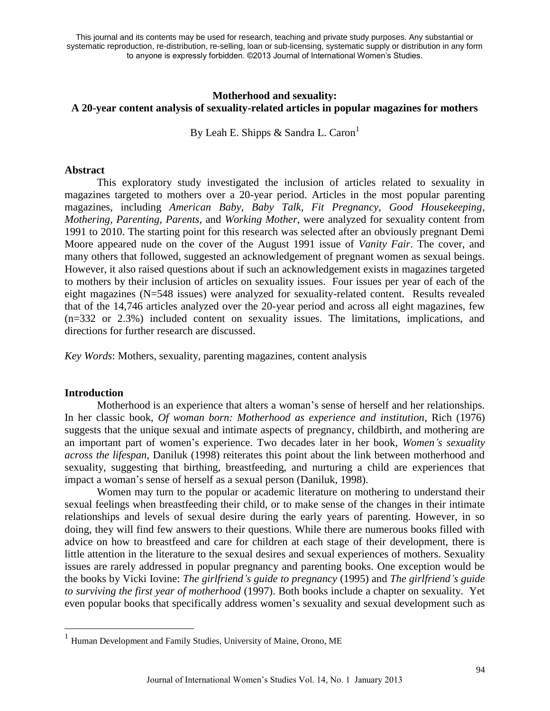## **Motherhood and sexuality: A 20-year content analysis of sexuality-related articles in popular magazines for mothers**

By Leah E. Shipps & Sandra L. Caron<sup>1</sup>

### **Abstract**

This exploratory study investigated the inclusion of articles related to sexuality in magazines targeted to mothers over a 20-year period. Articles in the most popular parenting magazines, including *American Baby, Baby Talk, Fit Pregnancy, Good Housekeeping, Mothering, Parenting, Parents*, and *Working Mother,* were analyzed for sexuality content from 1991 to 2010. The starting point for this research was selected after an obviously pregnant Demi Moore appeared nude on the cover of the August 1991 issue of *Vanity Fair*. The cover, and many others that followed, suggested an acknowledgement of pregnant women as sexual beings. However, it also raised questions about if such an acknowledgement exists in magazines targeted to mothers by their inclusion of articles on sexuality issues. Four issues per year of each of the eight magazines (N=548 issues) were analyzed for sexuality-related content. Results revealed that of the 14,746 articles analyzed over the 20-year period and across all eight magazines, few (n=332 or 2.3%) included content on sexuality issues. The limitations, implications, and directions for further research are discussed.

*Key Words*: Mothers, sexuality, parenting magazines, content analysis

## **Introduction**

 $\overline{a}$ 

Motherhood is an experience that alters a woman's sense of herself and her relationships. In her classic book, *Of woman born: Motherhood as experience and institution*, Rich (1976) suggests that the unique sexual and intimate aspects of pregnancy, childbirth, and mothering are an important part of women's experience. Two decades later in her book, *Women's sexuality across the lifespan*, Daniluk (1998) reiterates this point about the link between motherhood and sexuality, suggesting that birthing, breastfeeding, and nurturing a child are experiences that impact a woman's sense of herself as a sexual person (Daniluk, 1998).

Women may turn to the popular or academic literature on mothering to understand their sexual feelings when breastfeeding their child, or to make sense of the changes in their intimate relationships and levels of sexual desire during the early years of parenting. However, in so doing, they will find few answers to their questions. While there are numerous books filled with advice on how to breastfeed and care for children at each stage of their development, there is little attention in the literature to the sexual desires and sexual experiences of mothers. Sexuality issues are rarely addressed in popular pregnancy and parenting books. One exception would be the books by Vicki Iovine: *The girlfriend's guide to pregnancy* (1995) and *The girlfriend's guide to surviving the first year of motherhood* (1997). Both books include a chapter on sexuality. Yet even popular books that specifically address women's sexuality and sexual development such as

<sup>&</sup>lt;sup>1</sup> Human Development and Family Studies, University of Maine, Orono, ME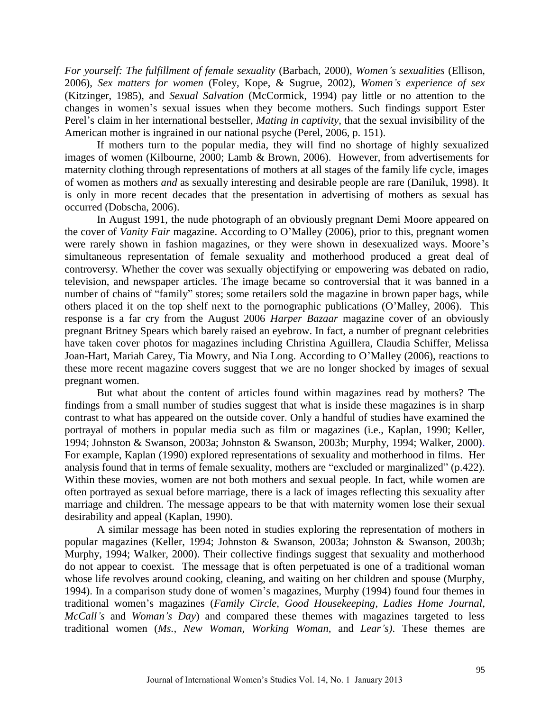*For yourself: The fulfillment of female sexuality* (Barbach, 2000), *Women's sexualities* (Ellison, 2006), *Sex matters for women* (Foley, Kope, & Sugrue, 2002), *Women's experience of sex* (Kitzinger, 1985), and *Sexual Salvation* (McCormick, 1994) pay little or no attention to the changes in women's sexual issues when they become mothers. Such findings support Ester Perel's claim in her international bestseller, *Mating in captivity,* that the sexual invisibility of the American mother is ingrained in our national psyche (Perel, 2006, p. 151).

If mothers turn to the popular media, they will find no shortage of highly sexualized images of women (Kilbourne, 2000; Lamb & Brown, 2006). However, from advertisements for maternity clothing through representations of mothers at all stages of the family life cycle, images of women as mothers *and* as sexually interesting and desirable people are rare (Daniluk, 1998). It is only in more recent decades that the presentation in advertising of mothers as sexual has occurred (Dobscha, 2006).

In August 1991, the nude photograph of an obviously pregnant Demi Moore appeared on the cover of *Vanity Fair* magazine. According to O'Malley (2006), prior to this, pregnant women were rarely shown in fashion magazines, or they were shown in desexualized ways. Moore's simultaneous representation of female sexuality and motherhood produced a great deal of controversy. Whether the cover was sexually objectifying or empowering was debated on radio, television, and newspaper articles. The image became so controversial that it was banned in a number of chains of "family" stores; some retailers sold the magazine in brown paper bags, while others placed it on the top shelf next to the pornographic publications (O'Malley, 2006). This response is a far cry from the August 2006 *Harper Bazaar* magazine cover of an obviously pregnant Britney Spears which barely raised an eyebrow. In fact, a number of pregnant celebrities have taken cover photos for magazines including Christina Aguillera, Claudia Schiffer, Melissa Joan-Hart, Mariah Carey, Tia Mowry, and Nia Long. According to O'Malley (2006), reactions to these more recent magazine covers suggest that we are no longer shocked by images of sexual pregnant women.

But what about the content of articles found within magazines read by mothers? The findings from a small number of studies suggest that what is inside these magazines is in sharp contrast to what has appeared on the outside cover. Only a handful of studies have examined the portrayal of mothers in popular media such as film or magazines (i.e., Kaplan, 1990; Keller, 1994; Johnston & Swanson, 2003a; Johnston & Swanson, 2003b; Murphy, 1994; Walker, 2000). For example, Kaplan (1990) explored representations of sexuality and motherhood in films. Her analysis found that in terms of female sexuality, mothers are "excluded or marginalized" (p.422). Within these movies, women are not both mothers and sexual people. In fact, while women are often portrayed as sexual before marriage, there is a lack of images reflecting this sexuality after marriage and children. The message appears to be that with maternity women lose their sexual desirability and appeal (Kaplan, 1990).

A similar message has been noted in studies exploring the representation of mothers in popular magazines (Keller, 1994; Johnston & Swanson, 2003a; Johnston & Swanson, 2003b; Murphy, 1994; Walker, 2000). Their collective findings suggest that sexuality and motherhood do not appear to coexist. The message that is often perpetuated is one of a traditional woman whose life revolves around cooking, cleaning, and waiting on her children and spouse (Murphy, 1994). In a comparison study done of women's magazines, Murphy (1994) found four themes in traditional women's magazines (*Family Circle, Good Housekeeping*, *Ladies Home Journal*, *McCall's* and *Woman's Day*) and compared these themes with magazines targeted to less traditional women (*Ms., New Woman, Working Woman,* and *Lear's)*. These themes are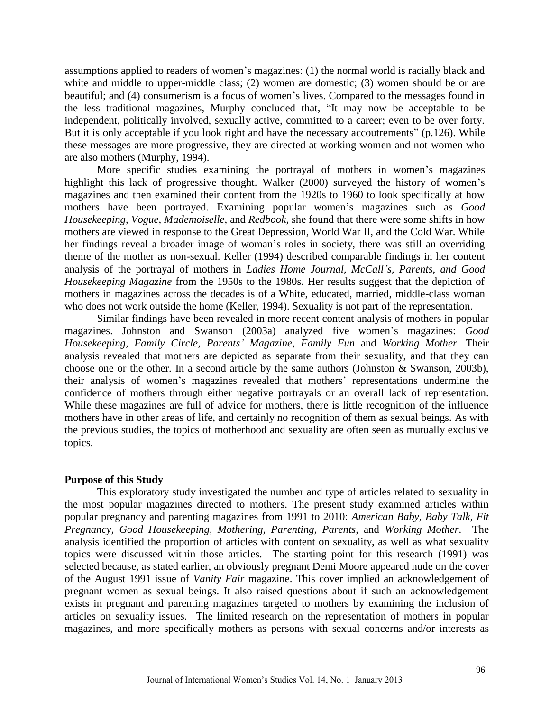assumptions applied to readers of women's magazines: (1) the normal world is racially black and white and middle to upper-middle class; (2) women are domestic; (3) women should be or are beautiful; and (4) consumerism is a focus of women's lives. Compared to the messages found in the less traditional magazines*,* Murphy concluded that, "It may now be acceptable to be independent, politically involved, sexually active, committed to a career; even to be over forty. But it is only acceptable if you look right and have the necessary accoutrements" (p.126). While these messages are more progressive, they are directed at working women and not women who are also mothers (Murphy, 1994).

More specific studies examining the portrayal of mothers in women's magazines highlight this lack of progressive thought. Walker (2000) surveyed the history of women's magazines and then examined their content from the 1920s to 1960 to look specifically at how mothers have been portrayed. Examining popular women's magazines such as *Good Housekeeping*, *Vogue*, *Mademoiselle*, and *Redbook*, she found that there were some shifts in how mothers are viewed in response to the Great Depression, World War II, and the Cold War. While her findings reveal a broader image of woman's roles in society, there was still an overriding theme of the mother as non-sexual. Keller (1994) described comparable findings in her content analysis of the portrayal of mothers in *Ladies Home Journal, McCall's, Parents, and Good Housekeeping Magazine* from the 1950s to the 1980s. Her results suggest that the depiction of mothers in magazines across the decades is of a White, educated, married, middle-class woman who does not work outside the home (Keller, 1994). Sexuality is not part of the representation.

Similar findings have been revealed in more recent content analysis of mothers in popular magazines. Johnston and Swanson (2003a) analyzed five women's magazines: *Good Housekeeping*, *Family Circle*, *Parents' Magazine*, *Family Fun* and *Working Mother.* Their analysis revealed that mothers are depicted as separate from their sexuality, and that they can choose one or the other. In a second article by the same authors (Johnston & Swanson, 2003b), their analysis of women's magazines revealed that mothers' representations undermine the confidence of mothers through either negative portrayals or an overall lack of representation. While these magazines are full of advice for mothers, there is little recognition of the influence mothers have in other areas of life, and certainly no recognition of them as sexual beings. As with the previous studies, the topics of motherhood and sexuality are often seen as mutually exclusive topics.

#### **Purpose of this Study**

This exploratory study investigated the number and type of articles related to sexuality in the most popular magazines directed to mothers. The present study examined articles within popular pregnancy and parenting magazines from 1991 to 2010: *American Baby, Baby Talk, Fit Pregnancy, Good Housekeeping, Mothering, Parenting, Parents*, and *Working Mother*. The analysis identified the proportion of articles with content on sexuality, as well as what sexuality topics were discussed within those articles. The starting point for this research (1991) was selected because, as stated earlier, an obviously pregnant Demi Moore appeared nude on the cover of the August 1991 issue of *Vanity Fair* magazine. This cover implied an acknowledgement of pregnant women as sexual beings. It also raised questions about if such an acknowledgement exists in pregnant and parenting magazines targeted to mothers by examining the inclusion of articles on sexuality issues. The limited research on the representation of mothers in popular magazines, and more specifically mothers as persons with sexual concerns and/or interests as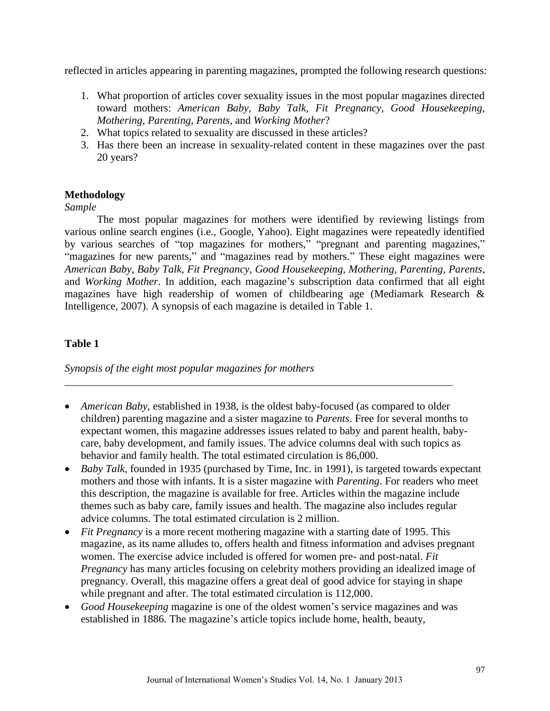reflected in articles appearing in parenting magazines, prompted the following research questions:

- 1. What proportion of articles cover sexuality issues in the most popular magazines directed toward mothers: *American Baby, Baby Talk, Fit Pregnancy, Good Housekeeping, Mothering, Parenting, Parents*, and *Working Mother*?
- 2. What topics related to sexuality are discussed in these articles?
- 3. Has there been an increase in sexuality-related content in these magazines over the past 20 years?

## **Methodology**

## *Sample*

The most popular magazines for mothers were identified by reviewing listings from various online search engines (i.e., Google, Yahoo). Eight magazines were repeatedly identified by various searches of "top magazines for mothers," "pregnant and parenting magazines," "magazines for new parents," and "magazines read by mothers." These eight magazines were *American Baby, Baby Talk, Fit Pregnancy, Good Housekeeping, Mothering, Parenting, Parents*, and *Working Mother*. In addition, each magazine's subscription data confirmed that all eight magazines have high readership of women of childbearing age (Mediamark Research & Intelligence, 2007). A synopsis of each magazine is detailed in Table 1.

## **Table 1**

*Synopsis of the eight most popular magazines for mothers*

- *American Baby*, established in 1938, is the oldest baby-focused (as compared to older children) parenting magazine and a sister magazine to *Parents*. Free for several months to expectant women, this magazine addresses issues related to baby and parent health, babycare, baby development, and family issues. The advice columns deal with such topics as behavior and family health. The total estimated circulation is 86,000.
- *Baby Talk*, founded in 1935 (purchased by Time, Inc. in 1991), is targeted towards expectant mothers and those with infants. It is a sister magazine with *Parenting*. For readers who meet this description, the magazine is available for free. Articles within the magazine include themes such as baby care, family issues and health. The magazine also includes regular advice columns. The total estimated circulation is 2 million.
- *Fit Pregnancy* is a more recent mothering magazine with a starting date of 1995. This magazine, as its name alludes to, offers health and fitness information and advises pregnant women. The exercise advice included is offered for women pre- and post-natal. *Fit Pregnancy* has many articles focusing on celebrity mothers providing an idealized image of pregnancy. Overall, this magazine offers a great deal of good advice for staying in shape while pregnant and after. The total estimated circulation is 112,000.
- *Good Housekeeping* magazine is one of the oldest women's service magazines and was established in 1886. The magazine's article topics include home, health, beauty,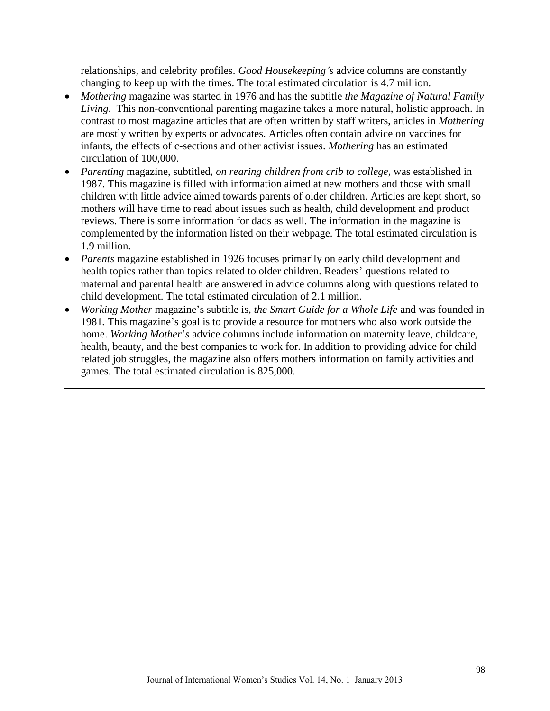relationships, and celebrity profiles. *Good Housekeeping's* advice columns are constantly changing to keep up with the times. The total estimated circulation is 4.7 million.

- *Mothering* magazine was started in 1976 and has the subtitle *the Magazine of Natural Family Living*. This non-conventional parenting magazine takes a more natural, holistic approach. In contrast to most magazine articles that are often written by staff writers, articles in *Mothering*  are mostly written by experts or advocates. Articles often contain advice on vaccines for infants, the effects of c-sections and other activist issues. *Mothering* has an estimated circulation of 100,000.
- *Parenting* magazine, subtitled, *on rearing children from crib to college*, was established in 1987. This magazine is filled with information aimed at new mothers and those with small children with little advice aimed towards parents of older children. Articles are kept short, so mothers will have time to read about issues such as health, child development and product reviews. There is some information for dads as well. The information in the magazine is complemented by the information listed on their webpage. The total estimated circulation is 1.9 million.
- *Parents* magazine established in 1926 focuses primarily on early child development and health topics rather than topics related to older children. Readers' questions related to maternal and parental health are answered in advice columns along with questions related to child development. The total estimated circulation of 2.1 million.
- *Working Mother* magazine's subtitle is, *the Smart Guide for a Whole Life* and was founded in 1981*.* This magazine's goal is to provide a resource for mothers who also work outside the home. *Working Mother*'*s* advice columns include information on maternity leave, childcare, health, beauty, and the best companies to work for. In addition to providing advice for child related job struggles, the magazine also offers mothers information on family activities and games. The total estimated circulation is 825,000.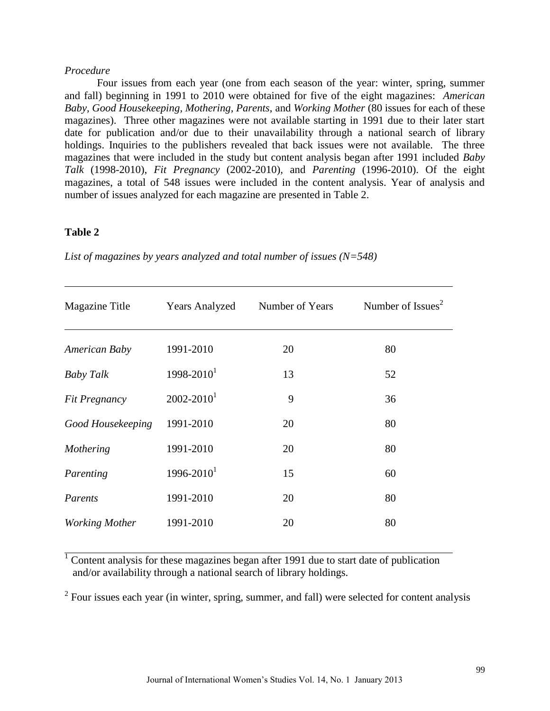#### *Procedure*

Four issues from each year (one from each season of the year: winter, spring, summer and fall) beginning in 1991 to 2010 were obtained for five of the eight magazines: *American Baby, Good Housekeeping, Mothering, Parents*, and *Working Mother* (80 issues for each of these magazines). Three other magazines were not available starting in 1991 due to their later start date for publication and/or due to their unavailability through a national search of library holdings. Inquiries to the publishers revealed that back issues were not available. The three magazines that were included in the study but content analysis began after 1991 included *Baby Talk* (1998-2010)*, Fit Pregnancy* (2002-2010)*,* and *Parenting* (1996-2010). Of the eight magazines, a total of 548 issues were included in the content analysis. Year of analysis and number of issues analyzed for each magazine are presented in Table 2.

#### **Table 2**

| <b>Magazine Title</b> | <b>Years Analyzed</b>      | Number of Years | Number of Issues <sup>2</sup> |
|-----------------------|----------------------------|-----------------|-------------------------------|
| American Baby         | 1991-2010                  | 20              | 80                            |
| <b>Baby Talk</b>      | $1998 - 2010$ <sup>1</sup> | 13              | 52                            |
| Fit Pregnancy         | $2002 - 2010$ <sup>1</sup> | 9               | 36                            |
| Good Housekeeping     | 1991-2010                  | 20              | 80                            |
| Mothering             | 1991-2010                  | 20              | 80                            |
| Parenting             | $1996 - 2010$ <sup>1</sup> | 15              | 60                            |
| Parents               | 1991-2010                  | 20              | 80                            |
| <b>Working Mother</b> | 1991-2010                  | 20              | 80                            |

*List of magazines by years analyzed and total number of issues (N=548)*

 $\frac{1}{1}$  Content analysis for these magazines began after 1991 due to start date of publication and/or availability through a national search of library holdings.

 $2^2$  Four issues each year (in winter, spring, summer, and fall) were selected for content analysis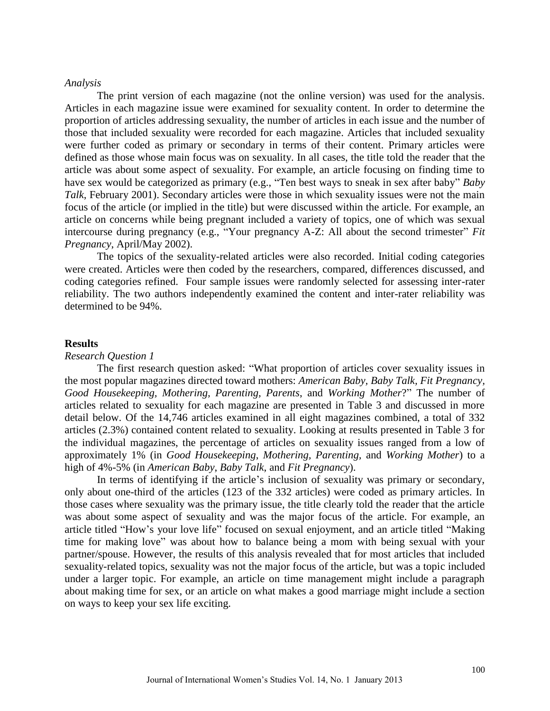#### *Analysis*

The print version of each magazine (not the online version) was used for the analysis. Articles in each magazine issue were examined for sexuality content. In order to determine the proportion of articles addressing sexuality, the number of articles in each issue and the number of those that included sexuality were recorded for each magazine. Articles that included sexuality were further coded as primary or secondary in terms of their content. Primary articles were defined as those whose main focus was on sexuality. In all cases, the title told the reader that the article was about some aspect of sexuality. For example, an article focusing on finding time to have sex would be categorized as primary (e.g., "Ten best ways to sneak in sex after baby" *Baby Talk*, February 2001). Secondary articles were those in which sexuality issues were not the main focus of the article (or implied in the title) but were discussed within the article. For example, an article on concerns while being pregnant included a variety of topics, one of which was sexual intercourse during pregnancy (e.g., "Your pregnancy A-Z: All about the second trimester" *Fit Pregnancy*, April/May 2002).

The topics of the sexuality-related articles were also recorded. Initial coding categories were created. Articles were then coded by the researchers, compared, differences discussed, and coding categories refined. Four sample issues were randomly selected for assessing inter-rater reliability. The two authors independently examined the content and inter-rater reliability was determined to be 94%.

#### **Results**

#### *Research Question 1*

The first research question asked: "What proportion of articles cover sexuality issues in the most popular magazines directed toward mothers: *American Baby, Baby Talk, Fit Pregnancy, Good Housekeeping, Mothering, Parenting, Parents*, and *Working Mother*?" The number of articles related to sexuality for each magazine are presented in Table 3 and discussed in more detail below. Of the 14,746 articles examined in all eight magazines combined, a total of 332 articles (2.3%) contained content related to sexuality. Looking at results presented in Table 3 for the individual magazines, the percentage of articles on sexuality issues ranged from a low of approximately 1% (in *Good Housekeeping*, *Mothering, Parenting,* and *Working Mother*) to a high of 4%-5% (in *American Baby*, *Baby Talk*, and *Fit Pregnancy*).

In terms of identifying if the article's inclusion of sexuality was primary or secondary, only about one-third of the articles (123 of the 332 articles) were coded as primary articles. In those cases where sexuality was the primary issue, the title clearly told the reader that the article was about some aspect of sexuality and was the major focus of the article. For example, an article titled "How's your love life" focused on sexual enjoyment, and an article titled "Making time for making love" was about how to balance being a mom with being sexual with your partner/spouse. However, the results of this analysis revealed that for most articles that included sexuality-related topics, sexuality was not the major focus of the article, but was a topic included under a larger topic. For example, an article on time management might include a paragraph about making time for sex, or an article on what makes a good marriage might include a section on ways to keep your sex life exciting.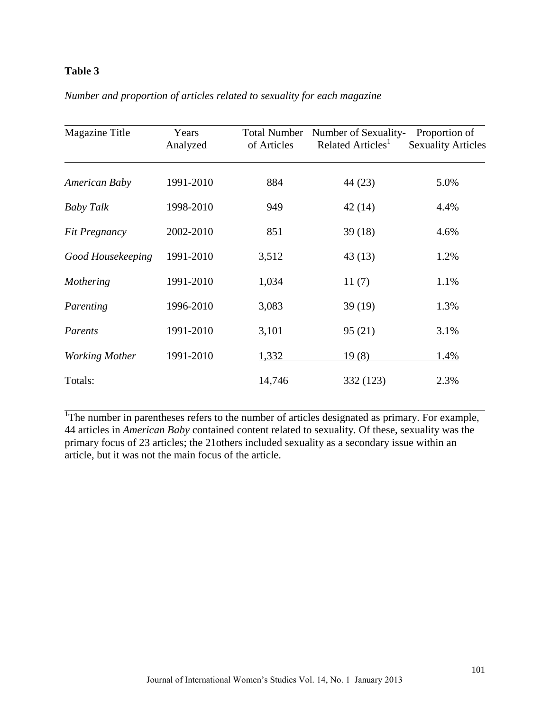## **Table 3**

| <b>Magazine Title</b> | Years<br>Analyzed | <b>Total Number</b><br>of Articles | Number of Sexuality-<br>Related Articles <sup>1</sup> | Proportion of<br><b>Sexuality Articles</b> |
|-----------------------|-------------------|------------------------------------|-------------------------------------------------------|--------------------------------------------|
| American Baby         | 1991-2010         | 884                                | 44 (23)                                               | 5.0%                                       |
| <b>Baby Talk</b>      | 1998-2010         | 949                                | 42(14)                                                | 4.4%                                       |
| Fit Pregnancy         | 2002-2010         | 851                                | 39(18)                                                | 4.6%                                       |
| Good Housekeeping     | 1991-2010         | 3,512                              | 43(13)                                                | 1.2%                                       |
| Mothering             | 1991-2010         | 1,034                              | 11(7)                                                 | 1.1%                                       |
| Parenting             | 1996-2010         | 3,083                              | 39(19)                                                | 1.3%                                       |
| Parents               | 1991-2010         | 3,101                              | 95(21)                                                | 3.1%                                       |
| <b>Working Mother</b> | 1991-2010         | 1,332                              | 19(8)                                                 | 1.4%                                       |
| Totals:               |                   | 14,746                             | 332 (123)                                             | 2.3%                                       |

*Number and proportion of articles related to sexuality for each magazine*

<sup>1</sup>The number in parentheses refers to the number of articles designated as primary. For example, 44 articles in *American Baby* contained content related to sexuality. Of these, sexuality was the primary focus of 23 articles; the 21others included sexuality as a secondary issue within an article, but it was not the main focus of the article.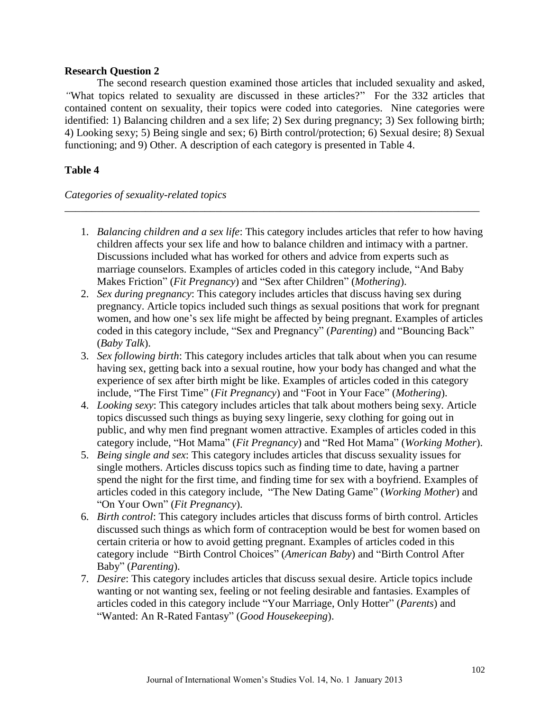### **Research Question 2**

The second research question examined those articles that included sexuality and asked, *"*What topics related to sexuality are discussed in these articles?" For the 332 articles that contained content on sexuality, their topics were coded into categories. Nine categories were identified: 1) Balancing children and a sex life; 2) Sex during pregnancy; 3) Sex following birth; 4) Looking sexy; 5) Being single and sex; 6) Birth control/protection; 6) Sexual desire; 8) Sexual functioning; and 9) Other. A description of each category is presented in Table 4.

## **Table 4**

*Categories of sexuality-related topics*

1. *Balancing children and a sex life*: This category includes articles that refer to how having children affects your sex life and how to balance children and intimacy with a partner. Discussions included what has worked for others and advice from experts such as marriage counselors. Examples of articles coded in this category include, "And Baby Makes Friction" (*Fit Pregnancy*) and "Sex after Children" (*Mothering*).

\_\_\_\_\_\_\_\_\_\_\_\_\_\_\_\_\_\_\_\_\_\_\_\_\_\_\_\_\_\_\_\_\_\_\_\_\_\_\_\_\_\_\_\_\_\_\_\_\_\_\_\_\_\_\_\_\_\_\_\_\_\_\_\_\_\_\_\_\_\_\_\_\_\_\_\_\_

- 2. *Sex during pregnancy*: This category includes articles that discuss having sex during pregnancy. Article topics included such things as sexual positions that work for pregnant women, and how one's sex life might be affected by being pregnant. Examples of articles coded in this category include, "Sex and Pregnancy" (*Parenting*) and "Bouncing Back" (*Baby Talk*).
- 3. *Sex following birth*: This category includes articles that talk about when you can resume having sex, getting back into a sexual routine, how your body has changed and what the experience of sex after birth might be like. Examples of articles coded in this category include, "The First Time" (*Fit Pregnancy*) and "Foot in Your Face" (*Mothering*).
- 4. *Looking sexy*: This category includes articles that talk about mothers being sexy. Article topics discussed such things as buying sexy lingerie, sexy clothing for going out in public, and why men find pregnant women attractive. Examples of articles coded in this category include, "Hot Mama" (*Fit Pregnancy*) and "Red Hot Mama" (*Working Mother*).
- 5. *Being single and sex*: This category includes articles that discuss sexuality issues for single mothers. Articles discuss topics such as finding time to date, having a partner spend the night for the first time, and finding time for sex with a boyfriend. Examples of articles coded in this category include, "The New Dating Game" (*Working Mother*) and "On Your Own" (*Fit Pregnancy*).
- 6. *Birth control*: This category includes articles that discuss forms of birth control. Articles discussed such things as which form of contraception would be best for women based on certain criteria or how to avoid getting pregnant. Examples of articles coded in this category include "Birth Control Choices" (*American Baby*) and "Birth Control After Baby" (*Parenting*).
- 7. *Desire*: This category includes articles that discuss sexual desire. Article topics include wanting or not wanting sex, feeling or not feeling desirable and fantasies. Examples of articles coded in this category include "Your Marriage, Only Hotter" (*Parents*) and "Wanted: An R-Rated Fantasy" (*Good Housekeeping*).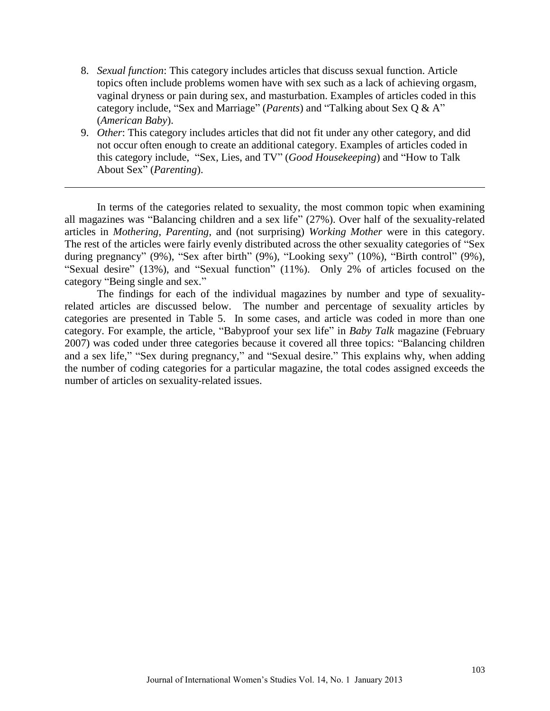- 8. *Sexual function*: This category includes articles that discuss sexual function. Article topics often include problems women have with sex such as a lack of achieving orgasm, vaginal dryness or pain during sex, and masturbation. Examples of articles coded in this category include, "Sex and Marriage" (*Parents*) and "Talking about Sex Q & A" (*American Baby*).
- 9. *Other*: This category includes articles that did not fit under any other category, and did not occur often enough to create an additional category. Examples of articles coded in this category include, "Sex, Lies, and TV" (*Good Housekeeping*) and "How to Talk About Sex" (*Parenting*).

In terms of the categories related to sexuality, the most common topic when examining all magazines was "Balancing children and a sex life" (27%). Over half of the sexuality-related articles in *Mothering*, *Parenting*, and (not surprising) *Working Mother* were in this category. The rest of the articles were fairly evenly distributed across the other sexuality categories of "Sex during pregnancy" (9%), "Sex after birth" (9%), "Looking sexy" (10%), "Birth control" (9%), "Sexual desire" (13%), and "Sexual function" (11%). Only 2% of articles focused on the category "Being single and sex."

The findings for each of the individual magazines by number and type of sexualityrelated articles are discussed below. The number and percentage of sexuality articles by categories are presented in Table 5. In some cases, and article was coded in more than one category. For example, the article, "Babyproof your sex life" in *Baby Talk* magazine (February 2007) was coded under three categories because it covered all three topics: "Balancing children and a sex life," "Sex during pregnancy," and "Sexual desire." This explains why, when adding the number of coding categories for a particular magazine, the total codes assigned exceeds the number of articles on sexuality-related issues.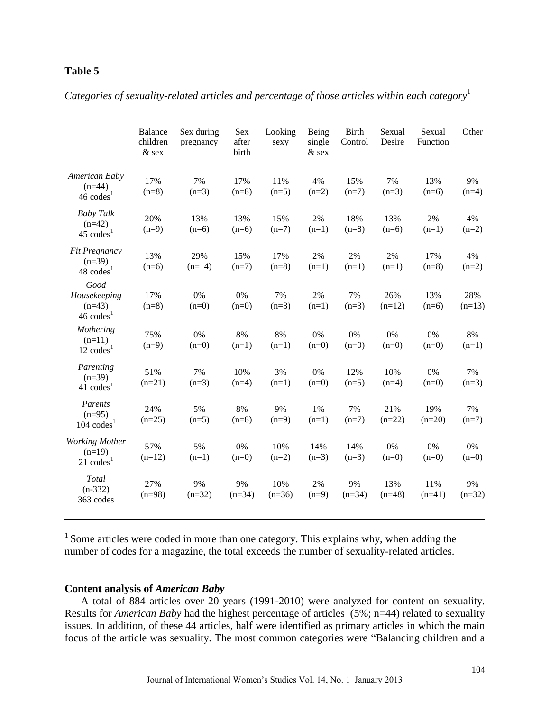## **Table 5**

|                                                                      | <b>Balance</b><br>children<br>$&$ sex | Sex during<br>pregnancy | Sex<br>after<br>birth | Looking<br>sexy | Being<br>single<br>$&$ sex | <b>Birth</b><br>Control | Sexual<br>Desire | Sexual<br>Function | Other            |
|----------------------------------------------------------------------|---------------------------------------|-------------------------|-----------------------|-----------------|----------------------------|-------------------------|------------------|--------------------|------------------|
| American Baby<br>$(n=44)$<br>$46 \text{ codes}$ <sup>1</sup>         | 17%<br>$(n=8)$                        | 7%<br>$(n=3)$           | 17%<br>$(n=8)$        | 11%<br>$(n=5)$  | 4%<br>$(n=2)$              | 15%<br>$(n=7)$          | 7%<br>$(n=3)$    | 13%<br>$(n=6)$     | 9%<br>$(n=4)$    |
| <b>Baby Talk</b><br>$(n=42)$<br>$45 \text{ codes}$ <sup>1</sup>      | 20%<br>$(n=9)$                        | 13%<br>$(n=6)$          | 13%<br>$(n=6)$        | 15%<br>$(n=7)$  | 2%<br>$(n=1)$              | 18%<br>$(n=8)$          | 13%<br>$(n=6)$   | 2%<br>$(n=1)$      | 4%<br>$(n=2)$    |
| Fit Pregnancy<br>$(n=39)$<br>$48 \text{ codes}$ <sup>1</sup>         | 13%<br>$(n=6)$                        | 29%<br>$(n=14)$         | 15%<br>$(n=7)$        | 17%<br>$(n=8)$  | 2%<br>$(n=1)$              | 2%<br>$(n=1)$           | 2%<br>$(n=1)$    | 17%<br>$(n=8)$     | 4%<br>$(n=2)$    |
| Good<br>Housekeeping<br>$(n=43)$<br>$46 \text{ codes}$ <sup>1</sup>  | 17%<br>$(n=8)$                        | 0%<br>$(n=0)$           | 0%<br>$(n=0)$         | 7%<br>$(n=3)$   | 2%<br>$(n=1)$              | 7%<br>$(n=3)$           | 26%<br>$(n=12)$  | 13%<br>$(n=6)$     | 28%<br>$(n=13)$  |
| Mothering<br>$(n=11)$<br>$12 \text{ codes}$ <sup>1</sup>             | 75%<br>$(n=9)$                        | 0%<br>$(n=0)$           | 8%<br>$(n=1)$         | 8%<br>$(n=1)$   | 0%<br>$(n=0)$              | 0%<br>$(n=0)$           | $0\%$<br>$(n=0)$ | 0%<br>$(n=0)$      | 8%<br>$(n=1)$    |
| Parenting<br>$(n=39)$<br>41 $\mathrm{codes}^1$                       | 51%<br>$(n=21)$                       | 7%<br>$(n=3)$           | 10%<br>$(n=4)$        | 3%<br>$(n=1)$   | 0%<br>$(n=0)$              | 12%<br>$(n=5)$          | 10%<br>$(n=4)$   | 0%<br>$(n=0)$      | 7%<br>$(n=3)$    |
| Parents<br>$(n=95)$<br>$104 \text{ codes}$ <sup>1</sup>              | 24%<br>$(n=25)$                       | 5%<br>$(n=5)$           | 8%<br>$(n=8)$         | 9%<br>$(n=9)$   | 1%<br>$(n=1)$              | 7%<br>$(n=7)$           | 21%<br>$(n=22)$  | 19%<br>$(n=20)$    | 7%<br>$(n=7)$    |
| <b>Working Mother</b><br>$(n=19)$<br>$21 \text{ codes}$ <sup>1</sup> | 57%<br>$(n=12)$                       | 5%<br>$(n=1)$           | 0%<br>$(n=0)$         | 10%<br>$(n=2)$  | 14%<br>$(n=3)$             | 14%<br>$(n=3)$          | 0%<br>$(n=0)$    | 0%<br>$(n=0)$      | $0\%$<br>$(n=0)$ |
| Total<br>$(n-332)$<br>363 codes                                      | 27%<br>$(n=98)$                       | 9%<br>$(n=32)$          | 9%<br>$(n=34)$        | 10%<br>$(n=36)$ | 2%<br>$(n=9)$              | 9%<br>$(n=34)$          | 13%<br>$(n=48)$  | 11%<br>$(n=41)$    | 9%<br>$(n=32)$   |

*Categories of sexuality-related articles and percentage of those articles within each category*<sup>1</sup>

<sup>1</sup> Some articles were coded in more than one category. This explains why, when adding the number of codes for a magazine, the total exceeds the number of sexuality-related articles.

#### **Content analysis of** *American Baby*

A total of 884 articles over 20 years (1991-2010) were analyzed for content on sexuality. Results for *American Baby* had the highest percentage of articles (5%; n=44) related to sexuality issues. In addition, of these 44 articles, half were identified as primary articles in which the main focus of the article was sexuality. The most common categories were "Balancing children and a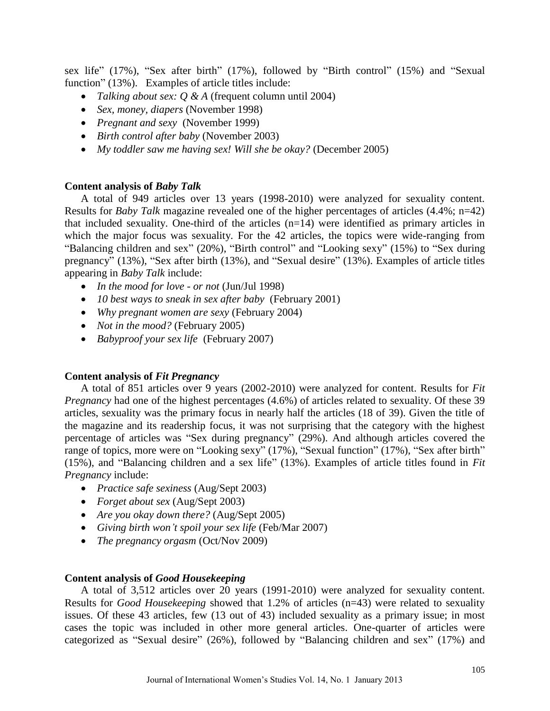sex life" (17%), "Sex after birth" (17%), followed by "Birth control" (15%) and "Sexual function" (13%). Examples of article titles include:

- *Talking about sex: Q & A* (frequent column until 2004)
- *Sex, money, diapers* (November 1998)
- *Pregnant and sexy* (November 1999)
- *Birth control after baby* (November 2003)
- *My toddler saw me having sex! Will she be okay?* (December 2005)

### **Content analysis of** *Baby Talk*

A total of 949 articles over 13 years (1998-2010) were analyzed for sexuality content. Results for *Baby Talk* magazine revealed one of the higher percentages of articles (4.4%; n=42) that included sexuality. One-third of the articles (n=14) were identified as primary articles in which the major focus was sexuality. For the 42 articles, the topics were wide-ranging from "Balancing children and sex" (20%), "Birth control" and "Looking sexy" (15%) to "Sex during pregnancy" (13%), "Sex after birth (13%), and "Sexual desire" (13%). Examples of article titles appearing in *Baby Talk* include:

- *In the mood for love - or not* (Jun/Jul 1998)
- *10 best ways to sneak in sex after baby* (February 2001)
- *Why pregnant women are sexy* (February 2004)
- *Not in the mood?* (February 2005)
- *Babyproof your sex life* (February 2007)

#### **Content analysis of** *Fit Pregnancy*

A total of 851 articles over 9 years (2002-2010) were analyzed for content. Results for *Fit Pregnancy* had one of the highest percentages (4.6%) of articles related to sexuality. Of these 39 articles, sexuality was the primary focus in nearly half the articles (18 of 39). Given the title of the magazine and its readership focus, it was not surprising that the category with the highest percentage of articles was "Sex during pregnancy" (29%). And although articles covered the range of topics, more were on "Looking sexy" (17%), "Sexual function" (17%), "Sex after birth" (15%), and "Balancing children and a sex life" (13%). Examples of article titles found in *Fit Pregnancy* include:

- *Practice safe sexiness* (Aug/Sept 2003)
- *Forget about sex* (Aug/Sept 2003)
- *Are you okay down there?* (Aug/Sept 2005)
- *Giving birth won't spoil your sex life* (Feb/Mar 2007)
- *The pregnancy orgasm* (Oct/Nov 2009)

#### **Content analysis of** *Good Housekeeping*

A total of 3,512 articles over 20 years (1991-2010) were analyzed for sexuality content. Results for *Good Housekeeping* showed that 1.2% of articles (n=43) were related to sexuality issues. Of these 43 articles, few (13 out of 43) included sexuality as a primary issue; in most cases the topic was included in other more general articles. One-quarter of articles were categorized as "Sexual desire" (26%), followed by "Balancing children and sex" (17%) and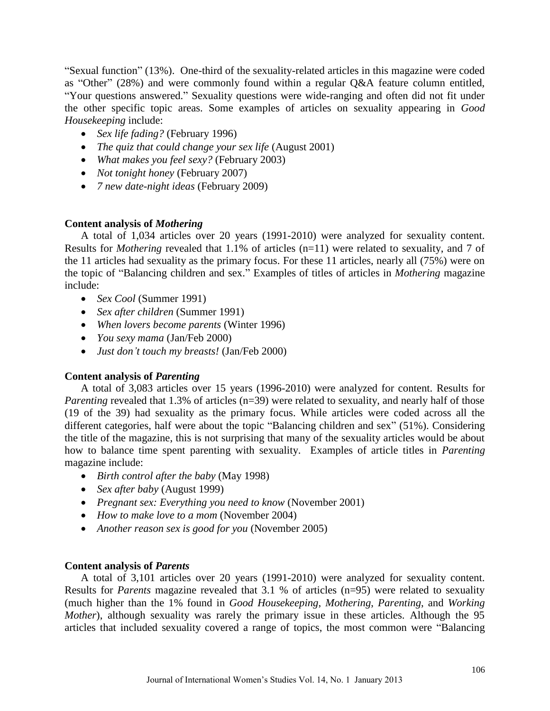"Sexual function" (13%). One-third of the sexuality-related articles in this magazine were coded as "Other" (28%) and were commonly found within a regular Q&A feature column entitled, "Your questions answered." Sexuality questions were wide-ranging and often did not fit under the other specific topic areas. Some examples of articles on sexuality appearing in *Good Housekeeping* include:

- *Sex life fading?* (February 1996)
- *The quiz that could change your sex life* (August 2001)
- *What makes you feel sexy?* (February 2003)
- *Not tonight honey* (February 2007)
- *7 new date-night ideas* (February 2009)

## **Content analysis of** *Mothering*

A total of 1,034 articles over 20 years (1991-2010) were analyzed for sexuality content. Results for *Mothering* revealed that 1.1% of articles (n=11) were related to sexuality, and 7 of the 11 articles had sexuality as the primary focus. For these 11 articles, nearly all (75%) were on the topic of "Balancing children and sex." Examples of titles of articles in *Mothering* magazine include:

- *Sex Cool* (Summer 1991)
- *Sex after children* (Summer 1991)
- *When lovers become parents* (Winter 1996)
- *You sexy mama* (Jan/Feb 2000)
- *Just don't touch my breasts!* (Jan/Feb 2000)

## **Content analysis of** *Parenting*

A total of 3,083 articles over 15 years (1996-2010) were analyzed for content. Results for *Parenting* revealed that 1.3% of articles (n=39) were related to sexuality, and nearly half of those (19 of the 39) had sexuality as the primary focus. While articles were coded across all the different categories, half were about the topic "Balancing children and sex" (51%). Considering the title of the magazine, this is not surprising that many of the sexuality articles would be about how to balance time spent parenting with sexuality. Examples of article titles in *Parenting* magazine include:

- *Birth control after the baby* (May 1998)
- *Sex after baby* (August 1999)
- *Pregnant sex: Everything you need to know* (November 2001)
- *How to make love to a mom* (November 2004)
- *Another reason sex is good for you* (November 2005)

## **Content analysis of** *Parents*

A total of 3,101 articles over 20 years (1991-2010) were analyzed for sexuality content. Results for *Parents* magazine revealed that 3.1 % of articles (n=95) were related to sexuality (much higher than the 1% found in *Good Housekeeping*, *Mothering*, *Parenting*, and *Working Mother*), although sexuality was rarely the primary issue in these articles. Although the 95 articles that included sexuality covered a range of topics, the most common were "Balancing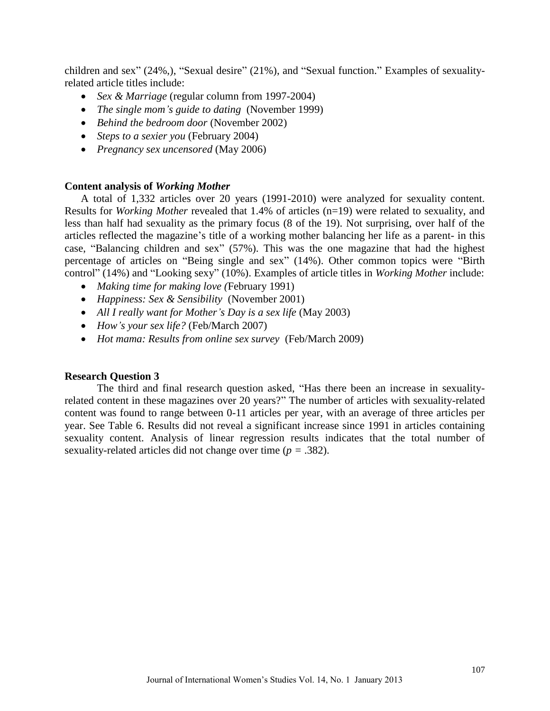children and sex" (24%,), "Sexual desire" (21%), and "Sexual function." Examples of sexualityrelated article titles include:

- *Sex & Marriage* (regular column from 1997-2004)
- *The single mom's guide to dating* (November 1999)
- *Behind the bedroom door* (November 2002)
- *Steps to a sexier you* (February 2004)
- *Pregnancy sex uncensored* (May 2006)

## **Content analysis of** *Working Mother*

A total of 1,332 articles over 20 years (1991-2010) were analyzed for sexuality content. Results for *Working Mother* revealed that 1.4% of articles (n=19) were related to sexuality, and less than half had sexuality as the primary focus (8 of the 19). Not surprising, over half of the articles reflected the magazine's title of a working mother balancing her life as a parent- in this case, "Balancing children and sex" (57%). This was the one magazine that had the highest percentage of articles on "Being single and sex" (14%). Other common topics were "Birth control" (14%) and "Looking sexy" (10%). Examples of article titles in *Working Mother* include:

- *Making time for making love (*February 1991)
- *Happiness: Sex & Sensibility* (November 2001)
- *All I really want for Mother's Day is a sex life* (May 2003)
- *How's your sex life?* (Feb/March 2007)
- *Hot mama: Results from online sex survey* (Feb/March 2009)

## **Research Question 3**

The third and final research question asked, "Has there been an increase in sexualityrelated content in these magazines over 20 years?" The number of articles with sexuality-related content was found to range between 0-11 articles per year, with an average of three articles per year. See Table 6. Results did not reveal a significant increase since 1991 in articles containing sexuality content. Analysis of linear regression results indicates that the total number of sexuality-related articles did not change over time (*p =* .382).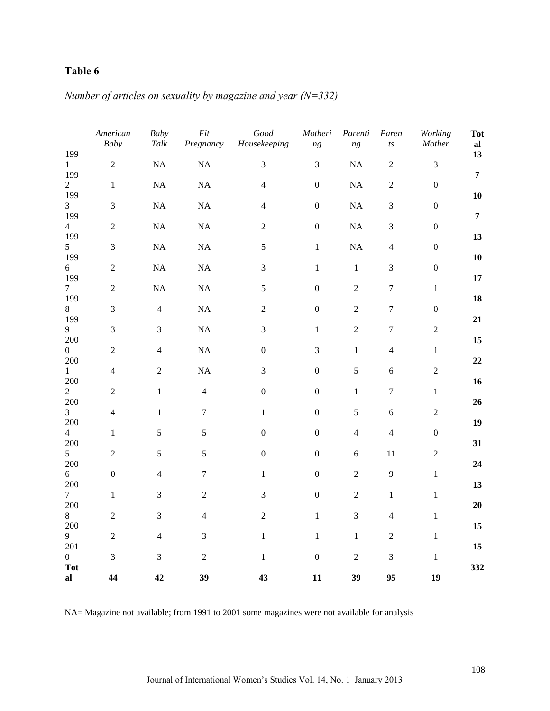# **Table 6**

| 199                   | American<br><b>Baby</b>     | <b>Baby</b><br>$\it{Talk}$ | Fit<br>Pregnancy | Good<br>Housekeeping | Motheri<br>ng    | Parenti<br>ng    | Paren<br>$\sqrt{ts}$        | Working<br>Mother | <b>Tot</b><br>al<br>13 |
|-----------------------|-----------------------------|----------------------------|------------------|----------------------|------------------|------------------|-----------------------------|-------------------|------------------------|
| $\mathbf{1}$          | $\boldsymbol{2}$            | $\rm NA$                   | $\rm NA$         | $\mathfrak{Z}$       | $\mathfrak{Z}$   | $\rm NA$         | $\sqrt{2}$                  | 3                 |                        |
| 199<br>$\overline{2}$ | $\mathbf{1}$                | $\rm NA$                   | <b>NA</b>        | $\overline{4}$       | $\boldsymbol{0}$ | $\rm NA$         | $\boldsymbol{2}$            | $\boldsymbol{0}$  | $\overline{7}$         |
| 199<br>3              | $\mathfrak{Z}$              | $\rm NA$                   | NA               | $\overline{4}$       | $\boldsymbol{0}$ | $\rm NA$         | $\mathfrak{Z}$              | $\boldsymbol{0}$  | 10                     |
| 199<br>$\overline{4}$ | $\sqrt{2}$                  | $\rm NA$                   | $\rm NA$         | $\sqrt{2}$           | $\boldsymbol{0}$ | $\rm NA$         | $\ensuremath{\mathfrak{Z}}$ | $\boldsymbol{0}$  | $\overline{7}$         |
| 199<br>5              | $\ensuremath{\mathfrak{Z}}$ | $\rm NA$                   | NA               | $\sqrt{5}$           | $1\,$            | $\rm NA$         | $\overline{4}$              | $\boldsymbol{0}$  | 13                     |
| 199<br>6              | $\sqrt{2}$                  | $\rm NA$                   | NA               | $\mathfrak{Z}$       | $1\,$            | $\,1\,$          | $\mathfrak{Z}$              | $\boldsymbol{0}$  | 10                     |
| 199<br>$\tau$         | $\sqrt{2}$                  | $\rm NA$                   | $\rm NA$         | $\sqrt{5}$           | $\boldsymbol{0}$ | $\sqrt{2}$       | $\tau$                      | $\mathbf 1$       | 17                     |
| 199<br>8              | $\mathfrak{Z}$              | $\overline{4}$             | NA               | $\sqrt{2}$           | $\boldsymbol{0}$ | $\sqrt{2}$       | $\boldsymbol{7}$            | $\boldsymbol{0}$  | 18                     |
| 199<br>9              | $\mathfrak{Z}$              | $\mathfrak{Z}$             | <b>NA</b>        | $\mathfrak{Z}$       | $\mathbf{1}$     | $\boldsymbol{2}$ | $\boldsymbol{7}$            | $\overline{c}$    | 21                     |
| 200<br>$\overline{0}$ | $\sqrt{2}$                  | $\overline{4}$             | $\rm NA$         | $\boldsymbol{0}$     | $\mathfrak{Z}$   | $\mathbf{1}$     | $\overline{4}$              | $\mathbf{1}$      | 15                     |
| 200<br>$\mathbf{1}$   | $\overline{4}$              | $\sqrt{2}$                 | <b>NA</b>        | 3                    | $\boldsymbol{0}$ | 5                | $\sqrt{6}$                  | $\sqrt{2}$        | 22                     |
| 200<br>$\overline{2}$ | $\sqrt{2}$                  | $\mathbf{1}$               | $\overline{4}$   | $\boldsymbol{0}$     | $\boldsymbol{0}$ | $\mathbf{1}$     | $\boldsymbol{7}$            | $\mathbf{1}$      | 16                     |
| 200<br>$\overline{3}$ | $\overline{4}$              | $\mathbf{1}$               | $\tau$           | $\mathbf{1}$         | $\boldsymbol{0}$ | 5                | $\sqrt{6}$                  | $\overline{c}$    | 26                     |
| 200<br>$\overline{4}$ | $\mathbf{1}$                | 5                          | $\sqrt{5}$       | $\boldsymbol{0}$     | $\boldsymbol{0}$ | $\overline{4}$   | $\overline{4}$              | $\boldsymbol{0}$  | 19                     |
| 200<br>5              | $\sqrt{2}$                  | $\sqrt{5}$                 | 5                | $\boldsymbol{0}$     | $\boldsymbol{0}$ | $\sqrt{6}$       | 11                          | $\overline{c}$    | 31                     |
| 200<br>6              | $\boldsymbol{0}$            | $\overline{4}$             | $\boldsymbol{7}$ | $\,1$                | $\boldsymbol{0}$ | $\sqrt{2}$       | $\boldsymbol{9}$            | $\mathbf{1}$      | 24                     |
| 200<br>$\tau$         | $1\,$                       | $\mathfrak{Z}$             | $\sqrt{2}$       | $\mathfrak{Z}$       | $\boldsymbol{0}$ | $\boldsymbol{2}$ | $\,1$                       | $\mathbf{1}$      | 13                     |
| 200<br>$8\,$          | $\sqrt{2}$                  | $\mathfrak{Z}$             | 4                | $\sqrt{2}$           | $\mathbf{1}$     | $\mathfrak{Z}$   | 4                           | $\mathbf{1}$      | 20                     |
| $200\,$<br>9          | $\boldsymbol{2}$            | $\overline{4}$             | $\mathfrak{Z}$   | $\mathbf{1}$         | $\mathbf 1$      | $\,1\,$          | $\sqrt{2}$                  | $\,1$             | $15\,$                 |
| 201<br>$\mathbf{0}$   | 3                           | $\mathfrak{Z}$             | $\sqrt{2}$       | $\,1\,$              | $\boldsymbol{0}$ | $\sqrt{2}$       | $\sqrt{3}$                  | $\mathbf{1}$      | 15                     |
| <b>Tot</b><br>a       | 44                          | 42                         | 39               | 43                   | 11               | 39               | 95                          | 19                | 332                    |

*Number of articles on sexuality by magazine and year (N=332)*

NA= Magazine not available; from 1991 to 2001 some magazines were not available for analysis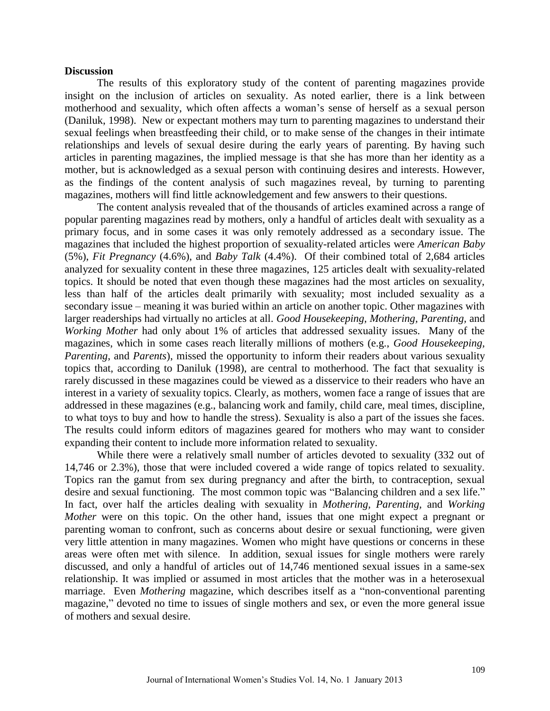#### **Discussion**

The results of this exploratory study of the content of parenting magazines provide insight on the inclusion of articles on sexuality. As noted earlier, there is a link between motherhood and sexuality, which often affects a woman's sense of herself as a sexual person (Daniluk, 1998). New or expectant mothers may turn to parenting magazines to understand their sexual feelings when breastfeeding their child, or to make sense of the changes in their intimate relationships and levels of sexual desire during the early years of parenting. By having such articles in parenting magazines, the implied message is that she has more than her identity as a mother, but is acknowledged as a sexual person with continuing desires and interests. However, as the findings of the content analysis of such magazines reveal, by turning to parenting magazines, mothers will find little acknowledgement and few answers to their questions.

The content analysis revealed that of the thousands of articles examined across a range of popular parenting magazines read by mothers, only a handful of articles dealt with sexuality as a primary focus, and in some cases it was only remotely addressed as a secondary issue. The magazines that included the highest proportion of sexuality-related articles were *American Baby* (5%), *Fit Pregnancy* (4.6%), and *Baby Talk* (4.4%). Of their combined total of 2,684 articles analyzed for sexuality content in these three magazines, 125 articles dealt with sexuality-related topics. It should be noted that even though these magazines had the most articles on sexuality, less than half of the articles dealt primarily with sexuality; most included sexuality as a secondary issue – meaning it was buried within an article on another topic. Other magazines with larger readerships had virtually no articles at all. *Good Housekeeping, Mothering, Parenting,* and *Working Mother* had only about 1% of articles that addressed sexuality issues. Many of the magazines, which in some cases reach literally millions of mothers (e.g., *Good Housekeeping, Parenting*, and *Parents*), missed the opportunity to inform their readers about various sexuality topics that, according to Daniluk (1998), are central to motherhood. The fact that sexuality is rarely discussed in these magazines could be viewed as a disservice to their readers who have an interest in a variety of sexuality topics. Clearly, as mothers, women face a range of issues that are addressed in these magazines (e.g., balancing work and family, child care, meal times, discipline, to what toys to buy and how to handle the stress). Sexuality is also a part of the issues she faces. The results could inform editors of magazines geared for mothers who may want to consider expanding their content to include more information related to sexuality.

While there were a relatively small number of articles devoted to sexuality (332 out of 14,746 or 2.3%), those that were included covered a wide range of topics related to sexuality. Topics ran the gamut from sex during pregnancy and after the birth, to contraception, sexual desire and sexual functioning. The most common topic was "Balancing children and a sex life." In fact, over half the articles dealing with sexuality in *Mothering, Parenting,* and *Working Mother* were on this topic. On the other hand, issues that one might expect a pregnant or parenting woman to confront, such as concerns about desire or sexual functioning, were given very little attention in many magazines. Women who might have questions or concerns in these areas were often met with silence. In addition, sexual issues for single mothers were rarely discussed, and only a handful of articles out of 14,746 mentioned sexual issues in a same-sex relationship. It was implied or assumed in most articles that the mother was in a heterosexual marriage. Even *Mothering* magazine, which describes itself as a "non-conventional parenting magazine," devoted no time to issues of single mothers and sex, or even the more general issue of mothers and sexual desire.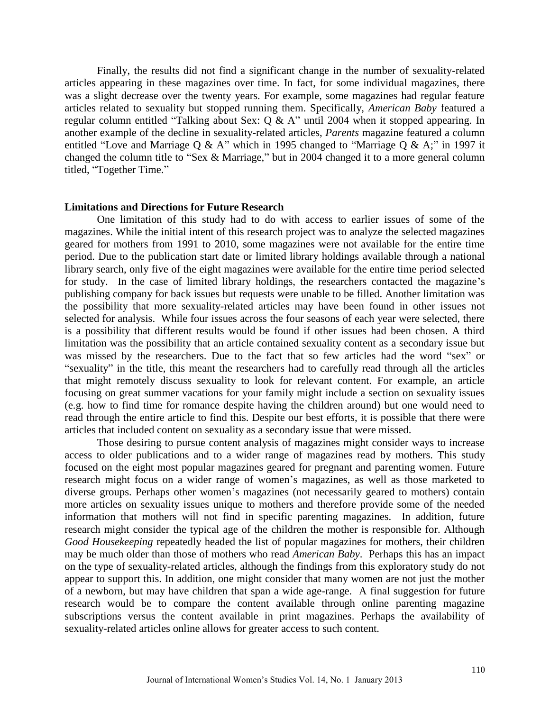Finally, the results did not find a significant change in the number of sexuality-related articles appearing in these magazines over time. In fact, for some individual magazines, there was a slight decrease over the twenty years. For example, some magazines had regular feature articles related to sexuality but stopped running them. Specifically, *American Baby* featured a regular column entitled "Talking about Sex: Q & A" until 2004 when it stopped appearing. In another example of the decline in sexuality-related articles, *Parents* magazine featured a column entitled "Love and Marriage Q & A" which in 1995 changed to "Marriage Q & A;" in 1997 it changed the column title to "Sex & Marriage," but in 2004 changed it to a more general column titled, "Together Time."

### **Limitations and Directions for Future Research**

One limitation of this study had to do with access to earlier issues of some of the magazines. While the initial intent of this research project was to analyze the selected magazines geared for mothers from 1991 to 2010, some magazines were not available for the entire time period. Due to the publication start date or limited library holdings available through a national library search, only five of the eight magazines were available for the entire time period selected for study. In the case of limited library holdings, the researchers contacted the magazine's publishing company for back issues but requests were unable to be filled. Another limitation was the possibility that more sexuality-related articles may have been found in other issues not selected for analysis. While four issues across the four seasons of each year were selected, there is a possibility that different results would be found if other issues had been chosen. A third limitation was the possibility that an article contained sexuality content as a secondary issue but was missed by the researchers. Due to the fact that so few articles had the word "sex" or "sexuality" in the title, this meant the researchers had to carefully read through all the articles that might remotely discuss sexuality to look for relevant content. For example, an article focusing on great summer vacations for your family might include a section on sexuality issues (e.g. how to find time for romance despite having the children around) but one would need to read through the entire article to find this. Despite our best efforts, it is possible that there were articles that included content on sexuality as a secondary issue that were missed.

Those desiring to pursue content analysis of magazines might consider ways to increase access to older publications and to a wider range of magazines read by mothers. This study focused on the eight most popular magazines geared for pregnant and parenting women. Future research might focus on a wider range of women's magazines, as well as those marketed to diverse groups. Perhaps other women's magazines (not necessarily geared to mothers) contain more articles on sexuality issues unique to mothers and therefore provide some of the needed information that mothers will not find in specific parenting magazines. In addition, future research might consider the typical age of the children the mother is responsible for. Although *Good Housekeeping* repeatedly headed the list of popular magazines for mothers, their children may be much older than those of mothers who read *American Baby*. Perhaps this has an impact on the type of sexuality-related articles, although the findings from this exploratory study do not appear to support this. In addition, one might consider that many women are not just the mother of a newborn, but may have children that span a wide age-range. A final suggestion for future research would be to compare the content available through online parenting magazine subscriptions versus the content available in print magazines. Perhaps the availability of sexuality-related articles online allows for greater access to such content.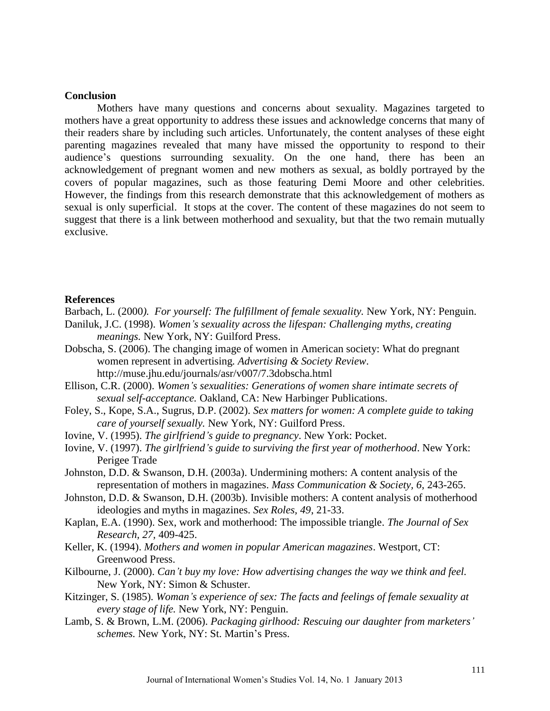#### **Conclusion**

Mothers have many questions and concerns about sexuality. Magazines targeted to mothers have a great opportunity to address these issues and acknowledge concerns that many of their readers share by including such articles. Unfortunately, the content analyses of these eight parenting magazines revealed that many have missed the opportunity to respond to their audience's questions surrounding sexuality. On the one hand, there has been an acknowledgement of pregnant women and new mothers as sexual, as boldly portrayed by the covers of popular magazines, such as those featuring Demi Moore and other celebrities. However, the findings from this research demonstrate that this acknowledgement of mothers as sexual is only superficial. It stops at the cover. The content of these magazines do not seem to suggest that there is a link between motherhood and sexuality, but that the two remain mutually exclusive.

#### **References**

- Barbach, L. (2000*). For yourself: The fulfillment of female sexuality.* New York, NY: Penguin.
- Daniluk, J.C. (1998). *Women's sexuality across the lifespan: Challenging myths, creating meanings.* New York, NY: Guilford Press.
- Dobscha, S. (2006). The changing image of women in American society: What do pregnant women represent in advertising*. Advertising & Society Review*. http://muse.jhu.edu/journals/asr/v007/7.3dobscha.html
- Ellison, C.R. (2000). *Women's sexualities: Generations of women share intimate secrets of sexual self-acceptance.* Oakland, CA: New Harbinger Publications.
- Foley, S., Kope, S.A., Sugrus, D.P. (2002). *Sex matters for women: A complete guide to taking care of yourself sexually.* New York, NY: Guilford Press.
- Iovine, V. (1995). *The girlfriend's guide to pregnancy*. New York: Pocket.
- Iovine, V. (1997). *The girlfriend's guide to surviving the first year of motherhood*. New York: Perigee Trade
- Johnston, D.D. & Swanson, D.H. (2003a). Undermining mothers: A content analysis of the representation of mothers in magazines. *Mass Communication & Society, 6*, 243-265.
- Johnston, D.D. & Swanson, D.H. (2003b). Invisible mothers: A content analysis of motherhood ideologies and myths in magazines. *Sex Roles, 49*, 21-33.
- Kaplan, E.A. (1990). Sex, work and motherhood: The impossible triangle. *The Journal of Sex Research, 27,* 409-425.
- Keller, K. (1994). *Mothers and women in popular American magazines*. Westport, CT: Greenwood Press.
- Kilbourne, J. (2000). *Can't buy my love: How advertising changes the way we think and feel.* New York, NY: Simon & Schuster.
- Kitzinger, S. (1985). *Woman's experience of sex: The facts and feelings of female sexuality at every stage of life.* New York, NY: Penguin.
- Lamb, S. & Brown, L.M. (2006). *Packaging girlhood: Rescuing our daughter from marketers' schemes.* New York, NY: St. Martin's Press.